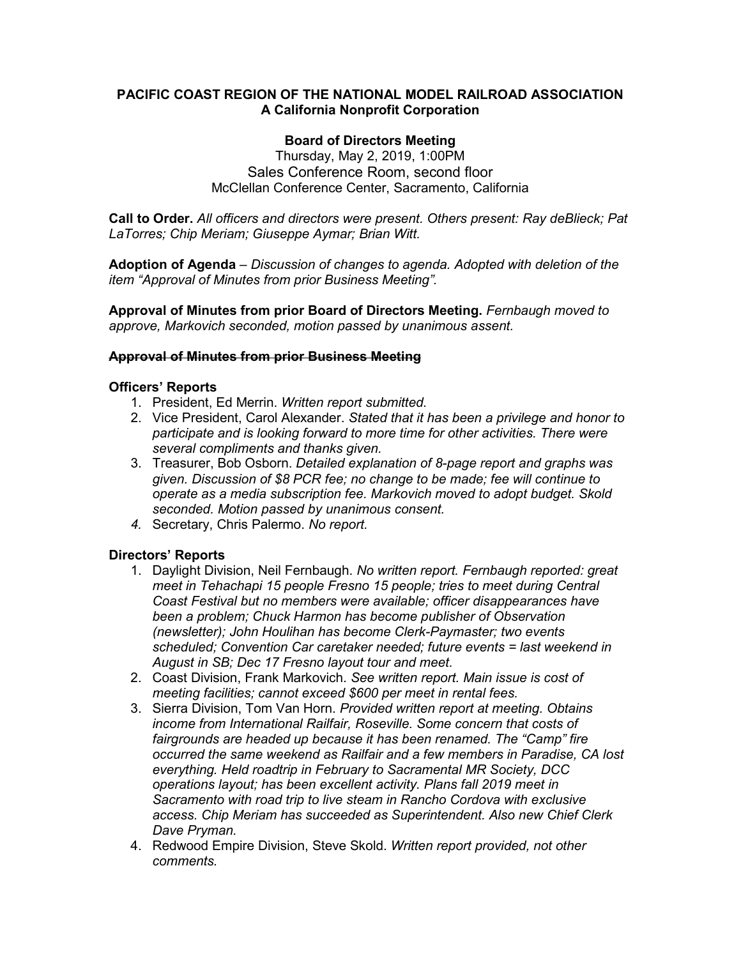## **PACIFIC COAST REGION OF THE NATIONAL MODEL RAILROAD ASSOCIATION A California Nonprofit Corporation**

## **Board of Directors Meeting**

Thursday, May 2, 2019, 1:00PM Sales Conference Room, second floor McClellan Conference Center, Sacramento, California

**Call to Order.** *All officers and directors were present. Others present: Ray deBlieck; Pat LaTorres; Chip Meriam; Giuseppe Aymar; Brian Witt.*

**Adoption of Agenda** – *Discussion of changes to agenda. Adopted with deletion of the item "Approval of Minutes from prior Business Meeting".*

**Approval of Minutes from prior Board of Directors Meeting.** *Fernbaugh moved to approve, Markovich seconded, motion passed by unanimous assent.*

#### **Approval of Minutes from prior Business Meeting**

#### **Officers' Reports**

- 1. President, Ed Merrin. *Written report submitted.*
- 2. Vice President, Carol Alexander. *Stated that it has been a privilege and honor to participate and is looking forward to more time for other activities. There were several compliments and thanks given.*
- 3. Treasurer, Bob Osborn. *Detailed explanation of 8-page report and graphs was given. Discussion of \$8 PCR fee; no change to be made; fee will continue to operate as a media subscription fee. Markovich moved to adopt budget. Skold seconded. Motion passed by unanimous consent.*
- *4.* Secretary, Chris Palermo. *No report.*

#### **Directors' Reports**

- 1. Daylight Division, Neil Fernbaugh. *No written report. Fernbaugh reported: great meet in Tehachapi 15 people Fresno 15 people; tries to meet during Central Coast Festival but no members were available; officer disappearances have been a problem; Chuck Harmon has become publisher of Observation (newsletter); John Houlihan has become Clerk-Paymaster; two events scheduled; Convention Car caretaker needed; future events = last weekend in August in SB; Dec 17 Fresno layout tour and meet.*
- 2. Coast Division, Frank Markovich. *See written report. Main issue is cost of meeting facilities; cannot exceed \$600 per meet in rental fees.*
- 3. Sierra Division, Tom Van Horn. *Provided written report at meeting. Obtains income from International Railfair, Roseville. Some concern that costs of fairgrounds are headed up because it has been renamed. The "Camp" fire occurred the same weekend as Railfair and a few members in Paradise, CA lost everything. Held roadtrip in February to Sacramental MR Society, DCC operations layout; has been excellent activity. Plans fall 2019 meet in Sacramento with road trip to live steam in Rancho Cordova with exclusive access. Chip Meriam has succeeded as Superintendent. Also new Chief Clerk Dave Pryman.*
- 4. Redwood Empire Division, Steve Skold. *Written report provided, not other comments.*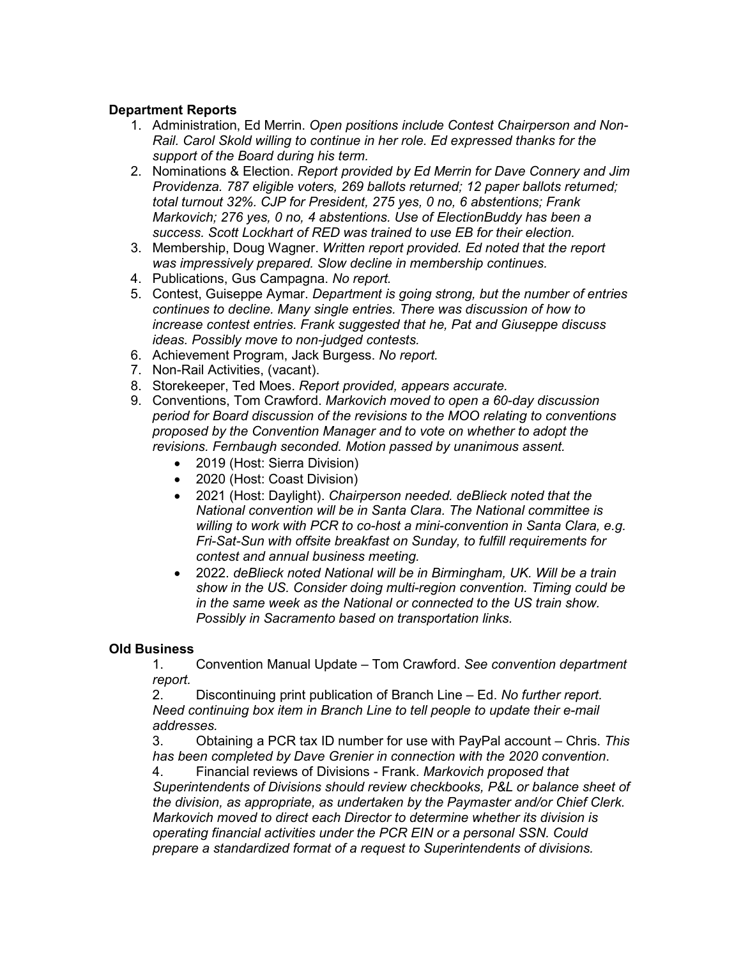## **Department Reports**

- 1. Administration, Ed Merrin. *Open positions include Contest Chairperson and Non-Rail. Carol Skold willing to continue in her role. Ed expressed thanks for the support of the Board during his term.*
- 2. Nominations & Election. *Report provided by Ed Merrin for Dave Connery and Jim Providenza. 787 eligible voters, 269 ballots returned; 12 paper ballots returned; total turnout 32%. CJP for President, 275 yes, 0 no, 6 abstentions; Frank Markovich; 276 yes, 0 no, 4 abstentions. Use of ElectionBuddy has been a success. Scott Lockhart of RED was trained to use EB for their election.*
- 3. Membership, Doug Wagner. *Written report provided. Ed noted that the report was impressively prepared. Slow decline in membership continues.*
- 4. Publications, Gus Campagna. *No report.*
- 5. Contest, Guiseppe Aymar. *Department is going strong, but the number of entries continues to decline. Many single entries. There was discussion of how to increase contest entries. Frank suggested that he, Pat and Giuseppe discuss ideas. Possibly move to non-judged contests.*
- 6. Achievement Program, Jack Burgess. *No report.*
- 7. Non-Rail Activities, (vacant).
- 8. Storekeeper, Ted Moes. *Report provided, appears accurate.*
- 9. Conventions, Tom Crawford. *Markovich moved to open a 60-day discussion period for Board discussion of the revisions to the MOO relating to conventions proposed by the Convention Manager and to vote on whether to adopt the revisions. Fernbaugh seconded. Motion passed by unanimous assent.*
	- 2019 (Host: Sierra Division)
	- 2020 (Host: Coast Division)
	- 2021 (Host: Daylight). *Chairperson needed. deBlieck noted that the National convention will be in Santa Clara. The National committee is willing to work with PCR to co-host a mini-convention in Santa Clara, e.g. Fri-Sat-Sun with offsite breakfast on Sunday, to fulfill requirements for contest and annual business meeting.*
	- 2022. *deBlieck noted National will be in Birmingham, UK. Will be a train show in the US. Consider doing multi-region convention. Timing could be in the same week as the National or connected to the US train show. Possibly in Sacramento based on transportation links.*

## **Old Business**

1. Convention Manual Update – Tom Crawford. *See convention department report.* 

2. Discontinuing print publication of Branch Line – Ed. *No further report. Need continuing box item in Branch Line to tell people to update their e-mail addresses.* 

3. Obtaining a PCR tax ID number for use with PayPal account – Chris. *This has been completed by Dave Grenier in connection with the 2020 convention*.

4. Financial reviews of Divisions - Frank. *Markovich proposed that Superintendents of Divisions should review checkbooks, P&L or balance sheet of the division, as appropriate, as undertaken by the Paymaster and/or Chief Clerk. Markovich moved to direct each Director to determine whether its division is operating financial activities under the PCR EIN or a personal SSN. Could prepare a standardized format of a request to Superintendents of divisions.*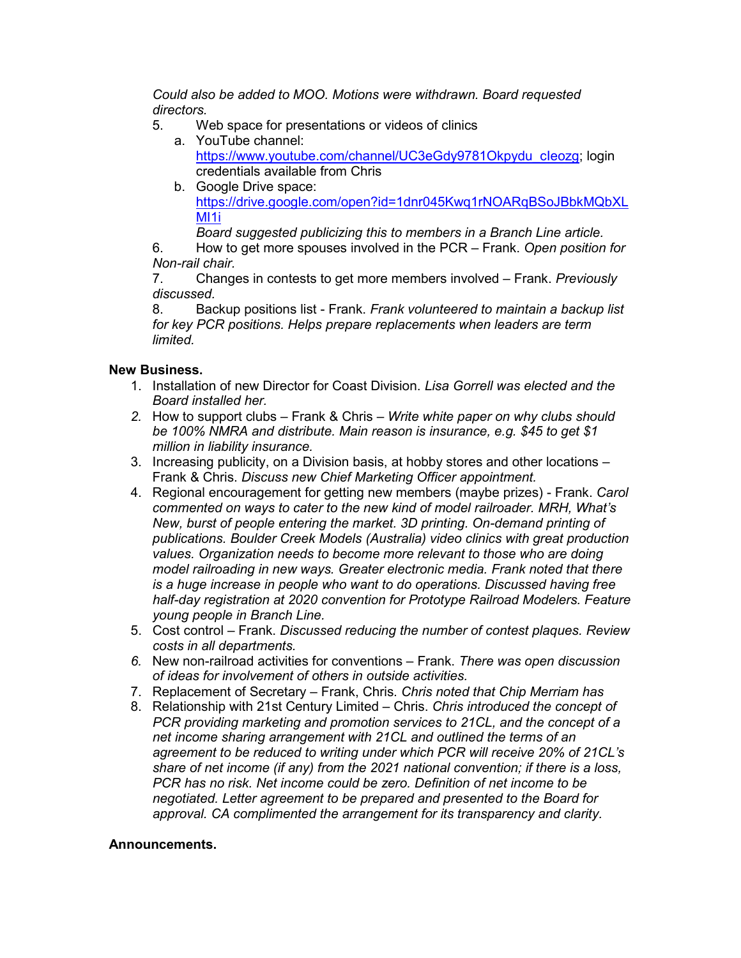*Could also be added to MOO. Motions were withdrawn. Board requested directors.*

- 5. Web space for presentations or videos of clinics
	- a. YouTube channel: https://www.youtube.com/channel/UC3eGdy9781Okpydu\_cleozg; login credentials available from Chris
	- b. Google Drive space: [https://drive.google.com/open?id=1dnr045Kwq1rNOARqBSoJBbkMQbXL](https://drive.google.com/open?id=1dnr045Kwq1rNOARqBSoJBbkMQbXLMI1i) MI<sub>1</sub>

*Board suggested publicizing this to members in a Branch Line article.*

6. How to get more spouses involved in the PCR – Frank. *Open position for Non-rail chair.*

7. Changes in contests to get more members involved – Frank. *Previously discussed.*

8. Backup positions list - Frank. *Frank volunteered to maintain a backup list for key PCR positions. Helps prepare replacements when leaders are term limited.*

## **New Business.**

- 1. Installation of new Director for Coast Division. *Lisa Gorrell was elected and the Board installed her.*
- *2.* How to support clubs Frank & Chris *Write white paper on why clubs should be 100% NMRA and distribute. Main reason is insurance, e.g. \$45 to get \$1 million in liability insurance.*
- 3. Increasing publicity, on a Division basis, at hobby stores and other locations Frank & Chris. *Discuss new Chief Marketing Officer appointment.*
- 4. Regional encouragement for getting new members (maybe prizes) Frank. *Carol commented on ways to cater to the new kind of model railroader. MRH, What's New, burst of people entering the market. 3D printing. On-demand printing of publications. Boulder Creek Models (Australia) video clinics with great production values. Organization needs to become more relevant to those who are doing model railroading in new ways. Greater electronic media. Frank noted that there is a huge increase in people who want to do operations. Discussed having free half-day registration at 2020 convention for Prototype Railroad Modelers. Feature young people in Branch Line.*
- 5. Cost control Frank. *Discussed reducing the number of contest plaques. Review costs in all departments.*
- *6.* New non-railroad activities for conventions Frank. *There was open discussion of ideas for involvement of others in outside activities.*
- 7. Replacement of Secretary Frank, Chris. *Chris noted that Chip Merriam has*
- 8. Relationship with 21st Century Limited Chris. *Chris introduced the concept of PCR providing marketing and promotion services to 21CL, and the concept of a net income sharing arrangement with 21CL and outlined the terms of an agreement to be reduced to writing under which PCR will receive 20% of 21CL's share of net income (if any) from the 2021 national convention; if there is a loss, PCR has no risk. Net income could be zero. Definition of net income to be negotiated. Letter agreement to be prepared and presented to the Board for approval. CA complimented the arrangement for its transparency and clarity.*

## **Announcements.**